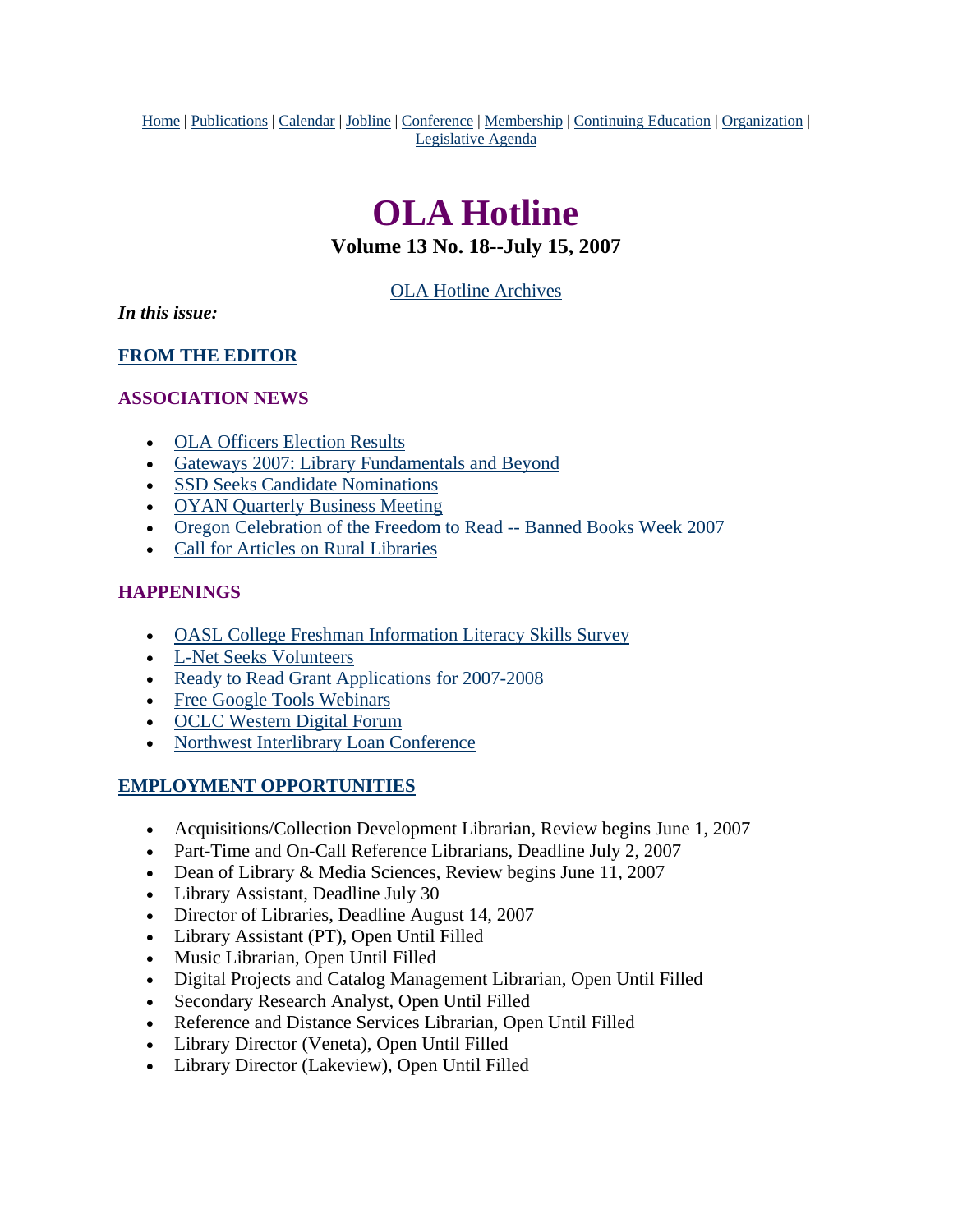<span id="page-0-0"></span>Home | Publications | Calendar | Jobline | Conference | Membership | Continuing Education | Organization | Legislative Agenda

# **OLA Hotline**

### **Volume 13 No. 18--July 15, 2007**

[OLA Hotline Archives](http://olaweb.org/hotline/index.shtml)

*In this issue:*

**[FROM THE EDITOR](#page-1-0)**

#### **ASSOCIATION NEWS**

- [OLA Officers Election Results](#page-1-0)
- [Gateways 2007: Library Fundamentals and Beyond](#page-1-0)
- [SSD Seeks Candidate Nominations](#page-2-0)
- [OYAN Quarterly Business Meeting](#page-0-0)
- [Oregon Celebration of the Freedom to Read -- Banned Books Week 2007](#page-3-0)
- [Call for Articles on Rural Libraries](#page-4-0)

### **HAPPENINGS**

- [OASL College Freshman Information Literacy Skills Survey](#page-4-0)
- [L-Net Seeks Volunteers](#page-5-0)
- Ready to Read Grant Applications for 2007-2008
- [Free Google Tools Webinars](#page-6-0)
- [OCLC Western Digital Forum](#page-6-0)
- [Northwest Interlibrary Loan Conference](#page-0-0)

#### **EMPLOYMENT OPPORTUNITIES**

- Acquisitions/Collection Development Librarian, Review begins June 1, 2007
- Part-Time and On-Call Reference Librarians, Deadline July 2, 2007
- Dean of Library & Media Sciences, Review begins June 11, 2007
- Library Assistant, Deadline July 30
- Director of Libraries, Deadline August 14, 2007
- Library Assistant (PT), Open Until Filled
- Music Librarian, Open Until Filled
- Digital Projects and Catalog Management Librarian, Open Until Filled
- Secondary Research Analyst, Open Until Filled
- Reference and Distance Services Librarian, Open Until Filled
- Library Director (Veneta), Open Until Filled
- Library Director (Lakeview), Open Until Filled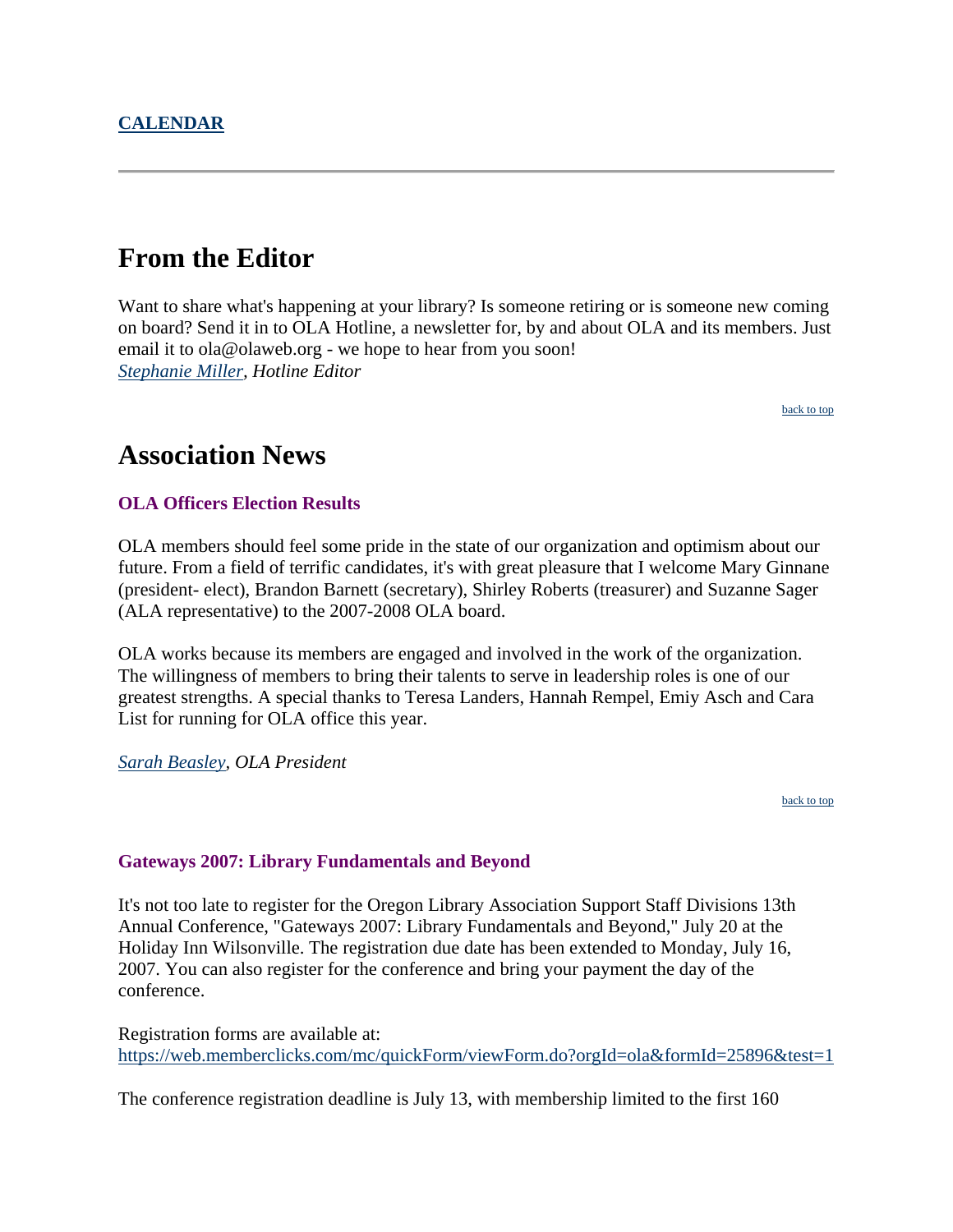# <span id="page-1-0"></span>**From the Editor**

Want to share what's happening at your library? Is someone retiring or is someone new coming on board? Send it in to OLA Hotline, a newsletter for, by and about OLA and its members. Just email it to ola@olaweb.org - we hope to hear from you soon! *[Stephanie Miller](mailto:ola@olaweb.org), Hotline Editor*

[back to top](#page-0-0)

### **Association News**

#### **OLA Officers Election Results**

OLA members should feel some pride in the state of our organization and optimism about our future. From a field of terrific candidates, it's with great pleasure that I welcome Mary Ginnane (president- elect), Brandon Barnett (secretary), Shirley Roberts (treasurer) and Suzanne Sager (ALA representative) to the 2007-2008 OLA board.

OLA works because its members are engaged and involved in the work of the organization. The willingness of members to bring their talents to serve in leadership roles is one of our greatest strengths. A special thanks to Teresa Landers, Hannah Rempel, Emiy Asch and Cara List for running for OLA office this year.

#### *[Sarah Beasley](mailto:bvsb@pdx.edu), OLA President*

[back to top](#page-0-0)

#### **Gateways 2007: Library Fundamentals and Beyond**

It's not too late to register for the Oregon Library Association Support Staff Divisions 13th Annual Conference, "Gateways 2007: Library Fundamentals and Beyond," July 20 at the Holiday Inn Wilsonville. The registration due date has been extended to Monday, July 16, 2007. You can also register for the conference and bring your payment the day of the conference.

Registration forms are available at: <https://web.memberclicks.com/mc/quickForm/viewForm.do?orgId=ola&formId=25896&test=1>

The conference registration deadline is July 13, with membership limited to the first 160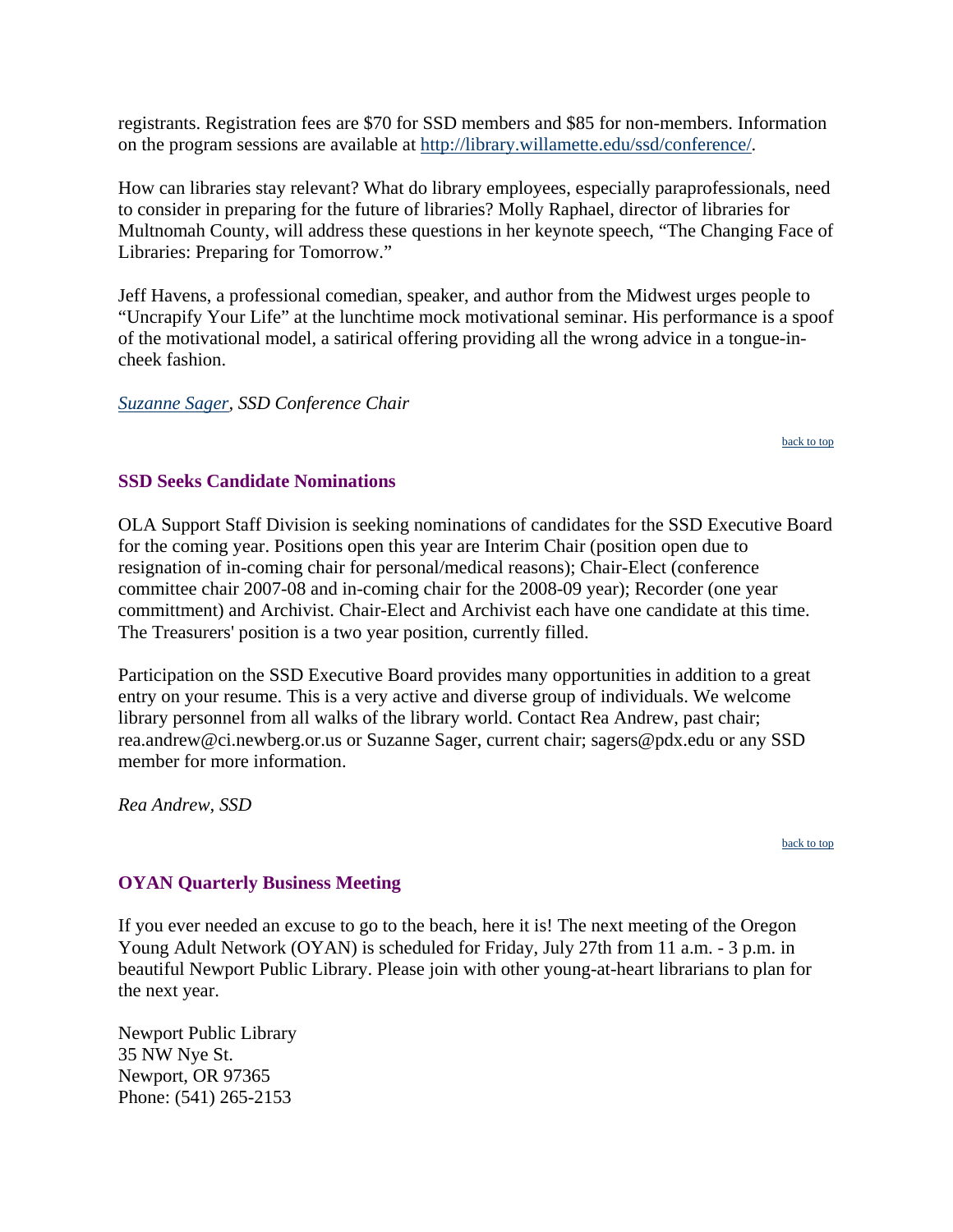<span id="page-2-0"></span>registrants. Registration fees are \$70 for SSD members and \$85 for non-members. Information on the program sessions are available at [http://library.willamette.edu/ssd/conference/.](http://library.willamette.edu/ssd/conference/)

How can libraries stay relevant? What do library employees, especially paraprofessionals, need to consider in preparing for the future of libraries? Molly Raphael, director of libraries for Multnomah County, will address these questions in her keynote speech, "The Changing Face of Libraries: Preparing for Tomorrow."

Jeff Havens, a professional comedian, speaker, and author from the Midwest urges people to "Uncrapify Your Life" at the lunchtime mock motivational seminar. His performance is a spoof of the motivational model, a satirical offering providing all the wrong advice in a tongue-incheek fashion.

#### *[Suzanne Sager](mailto:sagers@pdx.edu), SSD Conference Chair*

#### **SSD Seeks Candidate Nominations**

OLA Support Staff Division is seeking nominations of candidates for the SSD Executive Board for the coming year. Positions open this year are Interim Chair (position open due to resignation of in-coming chair for personal/medical reasons); Chair-Elect (conference committee chair 2007-08 and in-coming chair for the 2008-09 year); Recorder (one year committment) and Archivist. Chair-Elect and Archivist each have one candidate at this time. The Treasurers' position is a two year position, currently filled.

Participation on the SSD Executive Board provides many opportunities in addition to a great entry on your resume. This is a very active and diverse group of individuals. We welcome library personnel from all walks of the library world. Contact Rea Andrew, past chair; rea.andrew@ci.newberg.or.us or Suzanne Sager, current chair; sagers@pdx.edu or any SSD member for more information.

*Rea Andrew, SSD*

[back to top](#page-0-0)

#### **OYAN Quarterly Business Meeting**

If you ever needed an excuse to go to the beach, here it is! The next meeting of the Oregon Young Adult Network (OYAN) is scheduled for Friday, July 27th from 11 a.m. - 3 p.m. in beautiful Newport Public Library. Please join with other young-at-heart librarians to plan for the next year.

Newport Public Library 35 NW Nye St. Newport, OR 97365 Phone: (541) 265-2153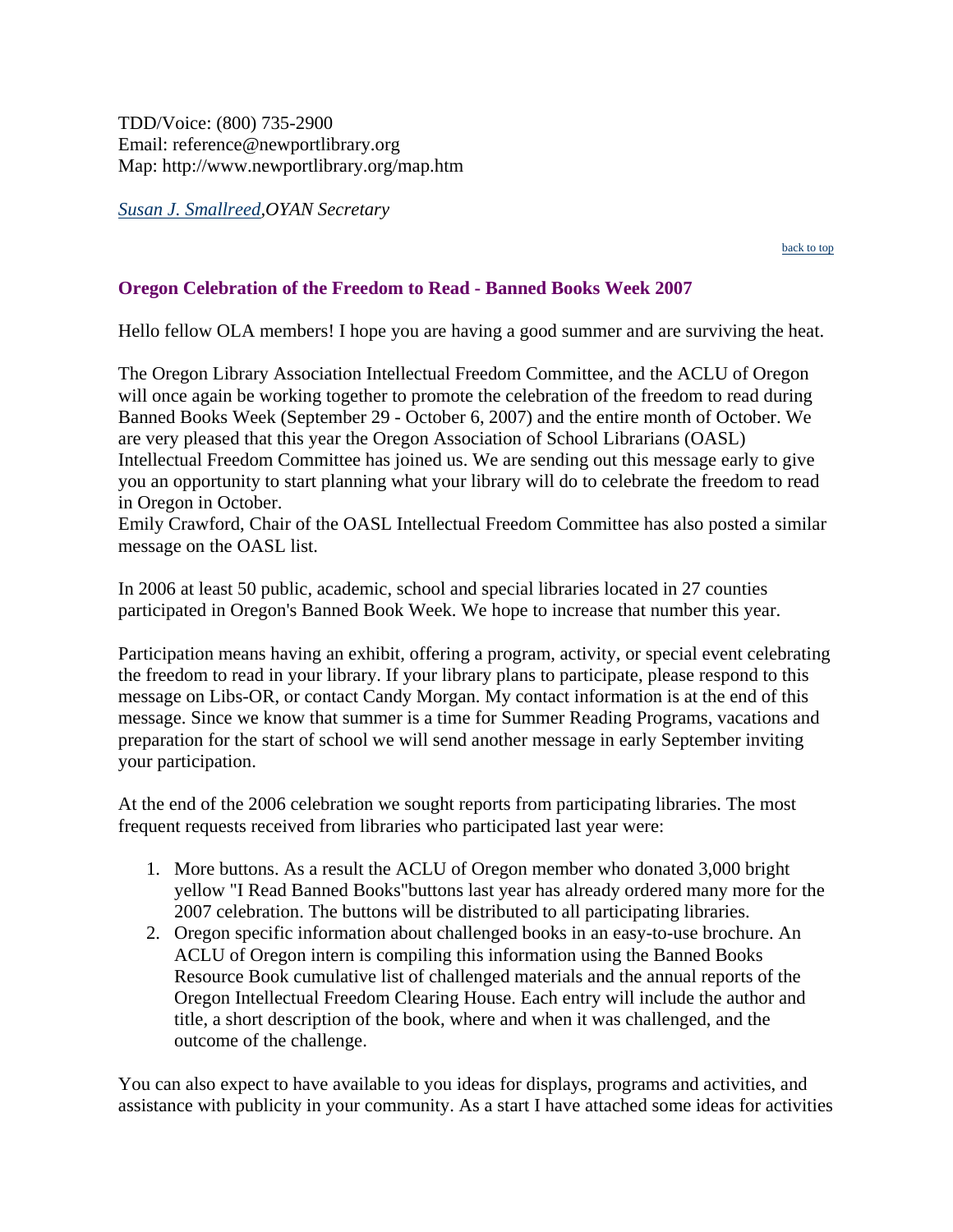<span id="page-3-0"></span>*Susan J. Smallreed,OYAN Secretary*

#### [back to top](#page-0-0)

#### **Oregon Celebration of the Freedom to Read - Banned Books Week 2007**

Hello fellow OLA members! I hope you are having a good summer and are surviving the heat.

The Oregon Library Association Intellectual Freedom Committee, and the ACLU of Oregon will once again be working together to promote the celebration of the freedom to read during Banned Books Week (September 29 - October 6, 2007) and the entire month of October. We are very pleased that this year the Oregon Association of School Librarians (OASL) Intellectual Freedom Committee has joined us. We are sending out this message early to give you an opportunity to start planning what your library will do to celebrate the freedom to read in Oregon in October.

Emily Crawford, Chair of the OASL Intellectual Freedom Committee has also posted a similar message on the OASL list.

In 2006 at least 50 public, academic, school and special libraries located in 27 counties participated in Oregon's Banned Book Week. We hope to increase that number this year.

Participation means having an exhibit, offering a program, activity, or special event celebrating the freedom to read in your library. If your library plans to participate, please respond to this message on Libs-OR, or contact Candy Morgan. My contact information is at the end of this message. Since we know that summer is a time for Summer Reading Programs, vacations and preparation for the start of school we will send another message in early September inviting your participation.

At the end of the 2006 celebration we sought reports from participating libraries. The most frequent requests received from libraries who participated last year were:

- 1. More buttons. As a result the ACLU of Oregon member who donated 3,000 bright yellow "I Read Banned Books"buttons last year has already ordered many more for the 2007 celebration. The buttons will be distributed to all participating libraries.
- 2. Oregon specific information about challenged books in an easy-to-use brochure. An ACLU of Oregon intern is compiling this information using the Banned Books Resource Book cumulative list of challenged materials and the annual reports of the Oregon Intellectual Freedom Clearing House. Each entry will include the author and title, a short description of the book, where and when it was challenged, and the outcome of the challenge.

You can also expect to have available to you ideas for displays, programs and activities, and assistance with publicity in your community. As a start I have attached some ideas for activities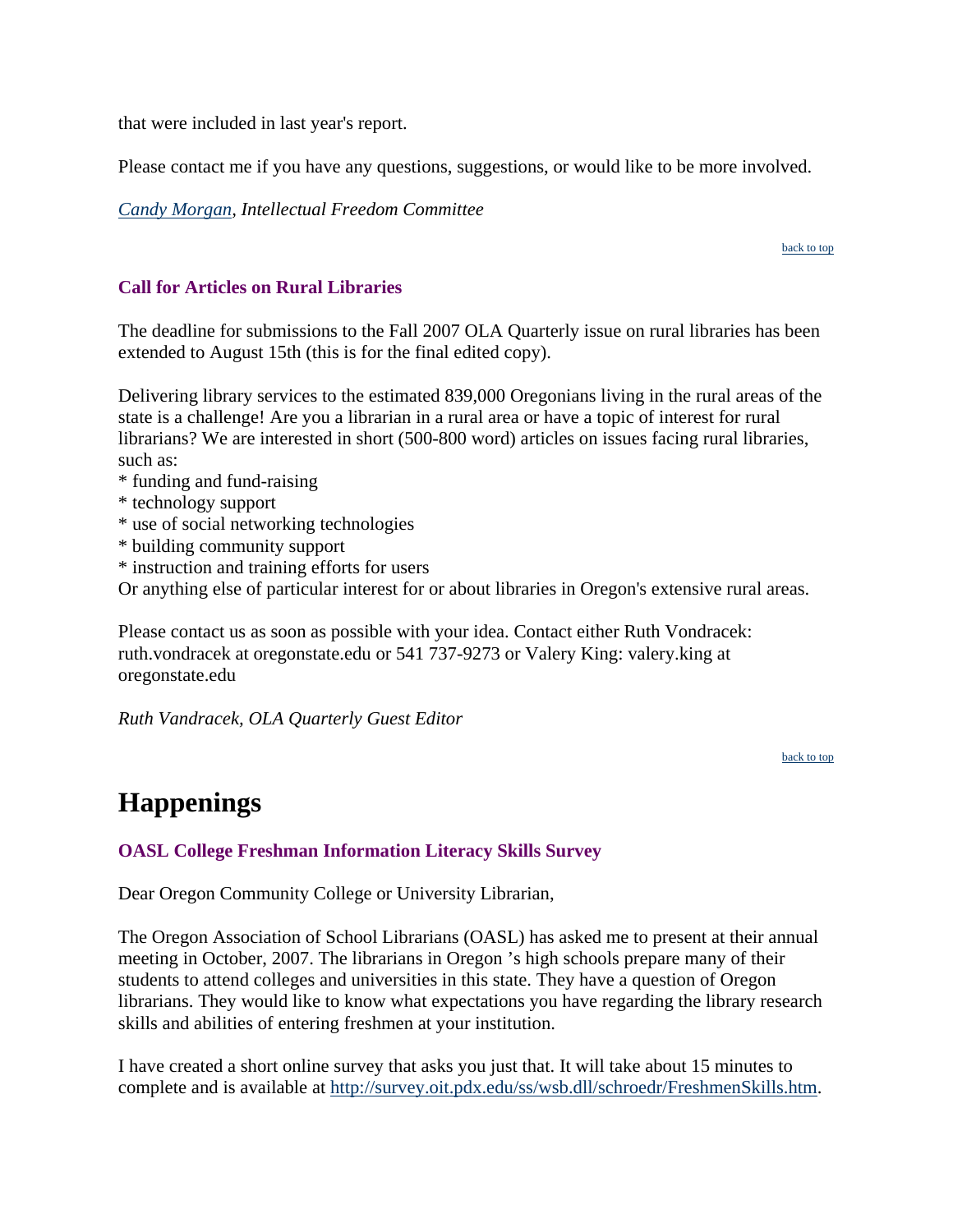<span id="page-4-0"></span>that were included in last year's report.

Please contact me if you have any questions, suggestions, or would like to be more involved.

*Candy Morgan, Intellectual Freedom Committee*

#### [back to top](#page-0-0)

#### **Call for Articles on Rural Libraries**

The deadline for submissions to the Fall 2007 OLA Quarterly issue on rural libraries has been extended to August 15th (this is for the final edited copy).

Delivering library services to the estimated 839,000 Oregonians living in the rural areas of the state is a challenge! Are you a librarian in a rural area or have a topic of interest for rural librarians? We are interested in short (500-800 word) articles on issues facing rural libraries, such as:

- \* funding and fund-raising
- \* technology support
- \* use of social networking technologies
- \* building community support
- \* instruction and training efforts for users

Or anything else of particular interest for or about libraries in Oregon's extensive rural areas.

Please contact us as soon as possible with your idea. Contact either Ruth Vondracek: ruth.vondracek at oregonstate.edu or 541 737-9273 or Valery King: valery.king at oregonstate.edu

*Ruth Vandracek, OLA Quarterly Guest Editor*

[back to top](#page-0-0)

### **Happenings**

#### **OASL College Freshman Information Literacy Skills Survey**

Dear Oregon Community College or University Librarian,

The Oregon Association of School Librarians (OASL) has asked me to present at their annual meeting in October, 2007. The librarians in Oregon 's high schools prepare many of their students to attend colleges and universities in this state. They have a question of Oregon librarians. They would like to know what expectations you have regarding the library research skills and abilities of entering freshmen at your institution.

I have created a short online survey that asks you just that. It will take about 15 minutes to complete and is available at<http://survey.oit.pdx.edu/ss/wsb.dll/schroedr/FreshmenSkills.htm>.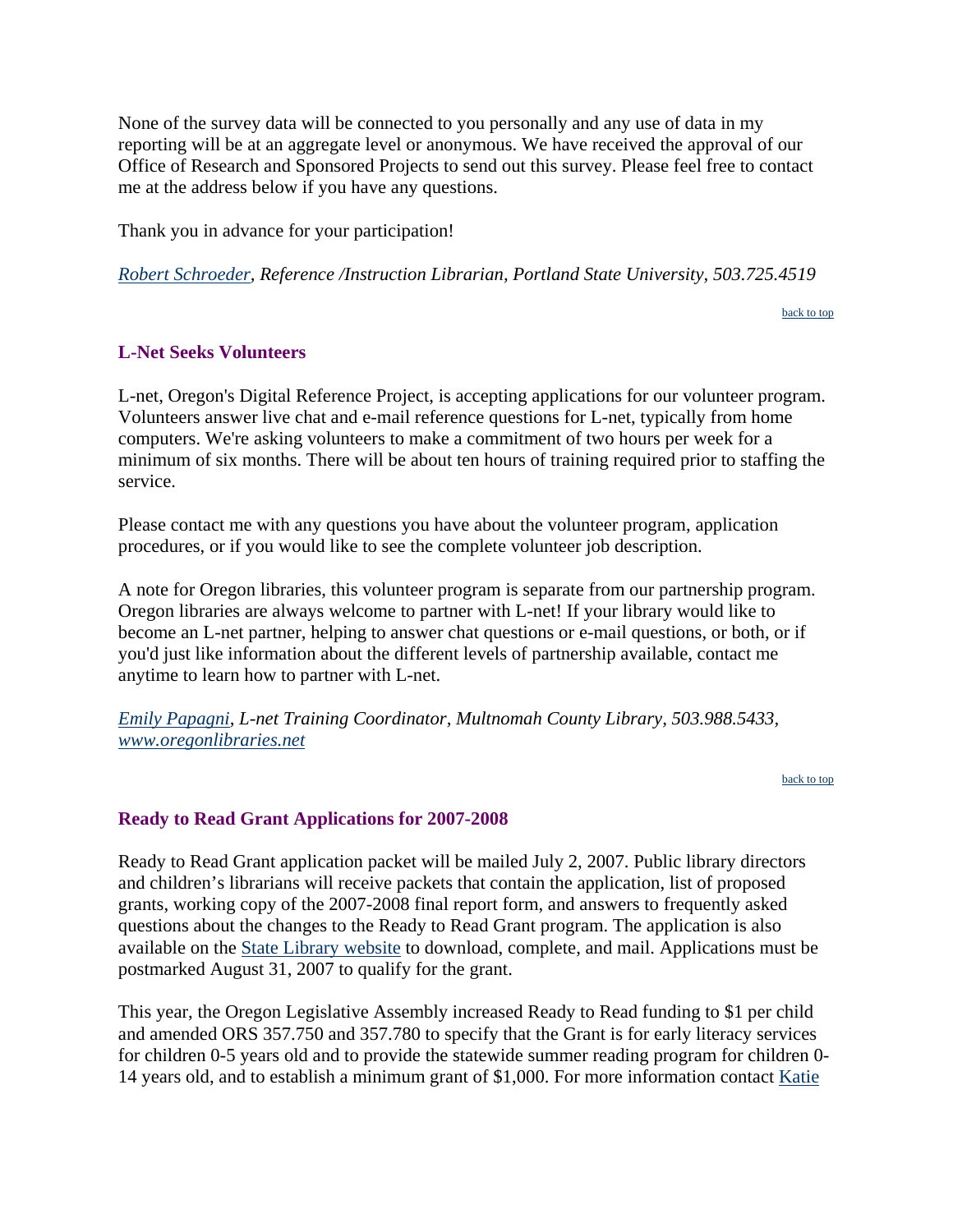<span id="page-5-0"></span>None of the survey data will be connected to you personally and any use of data in my reporting will be at an aggregate level or anonymous. We have received the approval of our Office of Research and Sponsored Projects to send out this survey. Please feel free to contact me at the address below if you have any questions.

Thank you in advance for your participation!

*[Robert Schroeder,](mailto:schroedr@pdx.edu) Reference /Instruction Librarian, Portland State University, 503.725.4519*

[back to top](#page-0-0)

#### **L-Net Seeks Volunteers**

L-net, Oregon's Digital Reference Project, is accepting applications for our volunteer program. Volunteers answer live chat and e-mail reference questions for L-net, typically from home computers. We're asking volunteers to make a commitment of two hours per week for a minimum of six months. There will be about ten hours of training required prior to staffing the service.

Please contact me with any questions you have about the volunteer program, application procedures, or if you would like to see the complete volunteer job description.

A note for Oregon libraries, this volunteer program is separate from our partnership program. Oregon libraries are always welcome to partner with L-net! If your library would like to become an L-net partner, helping to answer chat questions or e-mail questions, or both, or if you'd just like information about the different levels of partnership available, contact me anytime to learn how to partner with L-net.

*[Emily Papagni,](mailto:emilyp@multcolib.org) L-net Training Coordinator, Multnomah County Library, 503.988.5433, www.oregonlibraries.net*

[back to top](#page-0-0)

#### **Ready to Read Grant Applications for 2007-2008**

Ready to Read Grant application packet will be mailed July 2, 2007. Public library directors and children's librarians will receive packets that contain the application, list of proposed grants, working copy of the 2007-2008 final report form, and answers to frequently asked questions about the changes to the Ready to Read Grant program. The application is also available on the [State Library website](http://www.oregon.gov/OSL/LD/) to download, complete, and mail. Applications must be postmarked August 31, 2007 to qualify for the grant.

This year, the Oregon Legislative Assembly increased Ready to Read funding to \$1 per child and amended ORS 357.750 and 357.780 to specify that the Grant is for early literacy services for children 0-5 years old and to provide the statewide summer reading program for children 0- 14 years old, and to establish a minimum grant of \$1,000. For more information contact [Katie](mailto:katie.anderson@state.or.us)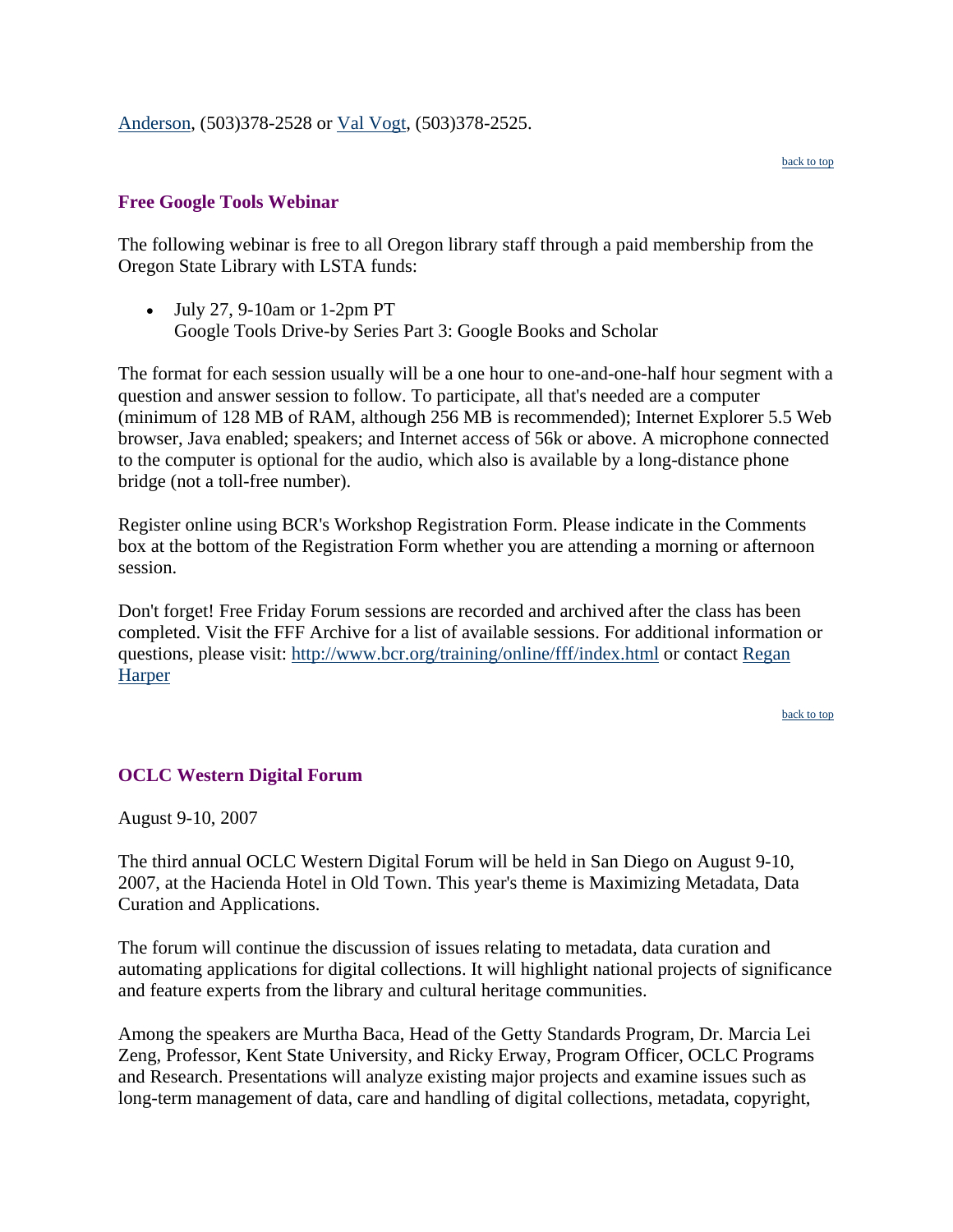#### <span id="page-6-0"></span>[Anderson,](mailto:katie.anderson@state.or.us) (503)378-2528 or [Val Vogt](mailto:val.t.vogt@state.or.us), (503)378-2525.

#### **Free Google Tools Webinar**

The following webinar is free to all Oregon library staff through a paid membership from the Oregon State Library with LSTA funds:

• July 27, 9-10am or 1-2pm PT Google Tools Drive-by Series Part 3: Google Books and Scholar

The format for each session usually will be a one hour to one-and-one-half hour segment with a question and answer session to follow. To participate, all that's needed are a computer (minimum of 128 MB of RAM, although 256 MB is recommended); Internet Explorer 5.5 Web browser, Java enabled; speakers; and Internet access of 56k or above. A microphone connected to the computer is optional for the audio, which also is available by a long-distance phone bridge (not a toll-free number).

Register online using BCR's Workshop Registration Form. Please indicate in the Comments box at the bottom of the Registration Form whether you are attending a morning or afternoon session.

Don't forget! Free Friday Forum sessions are recorded and archived after the class has been completed. Visit the FFF Archive for a list of available sessions. For additional information or questions, please visit:<http://www.bcr.org/training/online/fff/index.html>or contact [Regan](mailto:rharper@bcr.org)  [Harper](mailto:rharper@bcr.org)

[back to top](#page-0-0)

#### **OCLC Western Digital Forum**

August 9-10, 2007

The third annual OCLC Western Digital Forum will be held in San Diego on August 9-10, 2007, at the Hacienda Hotel in Old Town. This year's theme is Maximizing Metadata, Data Curation and Applications.

The forum will continue the discussion of issues relating to metadata, data curation and automating applications for digital collections. It will highlight national projects of significance and feature experts from the library and cultural heritage communities.

Among the speakers are Murtha Baca, Head of the Getty Standards Program, Dr. Marcia Lei Zeng, Professor, Kent State University, and Ricky Erway, Program Officer, OCLC Programs and Research. Presentations will analyze existing major projects and examine issues such as long-term management of data, care and handling of digital collections, metadata, copyright,